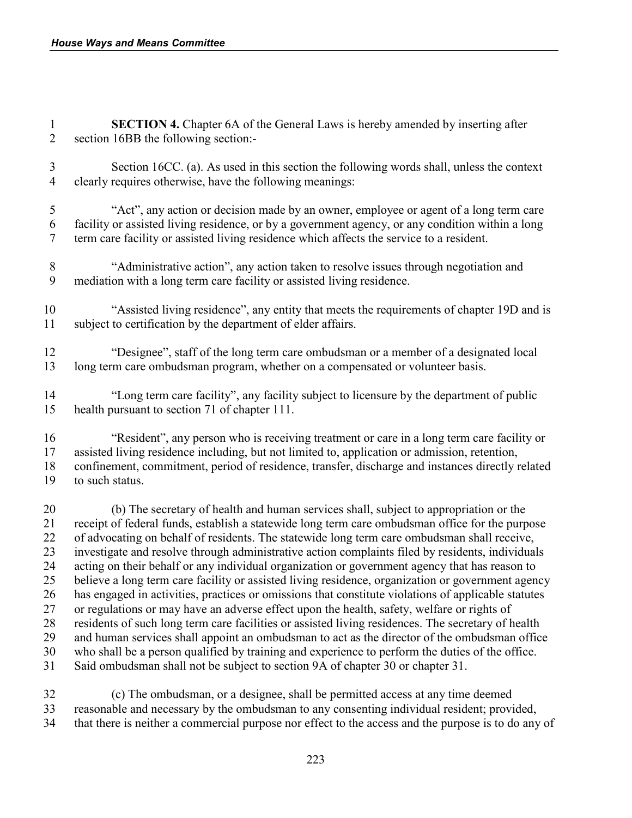**SECTION 4.** Chapter 6A of the General Laws is hereby amended by inserting after section 16BB the following section:-

 Section 16CC. (a). As used in this section the following words shall, unless the context clearly requires otherwise, have the following meanings:

 "Act", any action or decision made by an owner, employee or agent of a long term care facility or assisted living residence, or by a government agency, or any condition within a long term care facility or assisted living residence which affects the service to a resident.

 "Administrative action", any action taken to resolve issues through negotiation and mediation with a long term care facility or assisted living residence.

- "Assisted living residence", any entity that meets the requirements of chapter 19D and is subject to certification by the department of elder affairs.
- "Designee", staff of the long term care ombudsman or a member of a designated local long term care ombudsman program, whether on a compensated or volunteer basis.
- "Long term care facility", any facility subject to licensure by the department of public health pursuant to section 71 of chapter 111.

 "Resident", any person who is receiving treatment or care in a long term care facility or assisted living residence including, but not limited to, application or admission, retention, confinement, commitment, period of residence, transfer, discharge and instances directly related to such status.

20 (b) The secretary of health and human services shall, subject to appropriation or the 21 receipt of federal funds, establish a statewide long term care ombudsman office for the purp receipt of federal funds, establish a statewide long term care ombudsman office for the purpose of advocating on behalf of residents. The statewide long term care ombudsman shall receive, investigate and resolve through administrative action complaints filed by residents, individuals acting on their behalf or any individual organization or government agency that has reason to believe a long term care facility or assisted living residence, organization or government agency has engaged in activities, practices or omissions that constitute violations of applicable statutes or regulations or may have an adverse effect upon the health, safety, welfare or rights of residents of such long term care facilities or assisted living residences. The secretary of health and human services shall appoint an ombudsman to act as the director of the ombudsman office who shall be a person qualified by training and experience to perform the duties of the office. Said ombudsman shall not be subject to section 9A of chapter 30 or chapter 31.

 (c) The ombudsman, or a designee, shall be permitted access at any time deemed reasonable and necessary by the ombudsman to any consenting individual resident; provided, that there is neither a commercial purpose nor effect to the access and the purpose is to do any of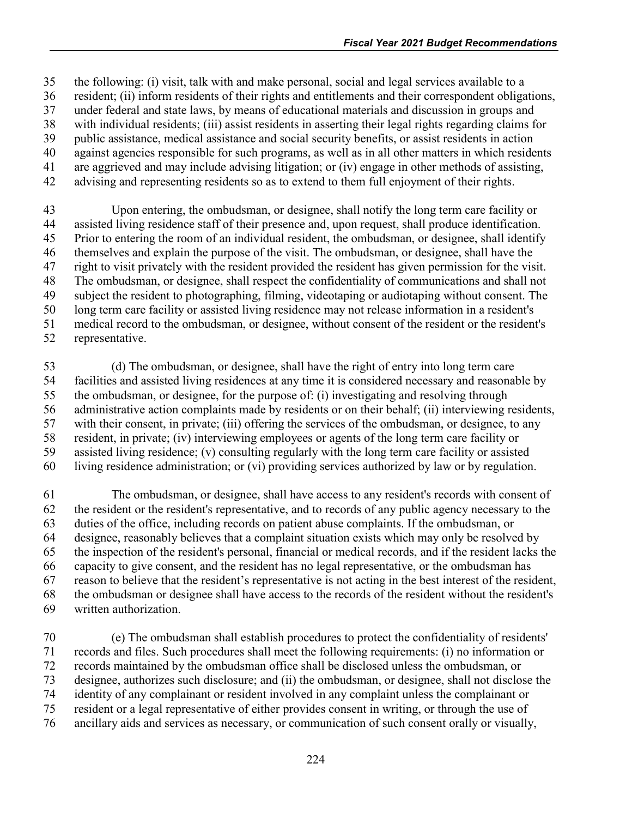the following: (i) visit, talk with and make personal, social and legal services available to a

- resident; (ii) inform residents of their rights and entitlements and their correspondent obligations,
- under federal and state laws, by means of educational materials and discussion in groups and
- with individual residents; (iii) assist residents in asserting their legal rights regarding claims for public assistance, medical assistance and social security benefits, or assist residents in action
- against agencies responsible for such programs, as well as in all other matters in which residents
- are aggrieved and may include advising litigation; or (iv) engage in other methods of assisting,
- advising and representing residents so as to extend to them full enjoyment of their rights.

 Upon entering, the ombudsman, or designee, shall notify the long term care facility or assisted living residence staff of their presence and, upon request, shall produce identification. Prior to entering the room of an individual resident, the ombudsman, or designee, shall identify themselves and explain the purpose of the visit. The ombudsman, or designee, shall have the right to visit privately with the resident provided the resident has given permission for the visit. The ombudsman, or designee, shall respect the confidentiality of communications and shall not subject the resident to photographing, filming, videotaping or audiotaping without consent. The long term care facility or assisted living residence may not release information in a resident's medical record to the ombudsman, or designee, without consent of the resident or the resident's

representative.

 (d) The ombudsman, or designee, shall have the right of entry into long term care facilities and assisted living residences at any time it is considered necessary and reasonable by the ombudsman, or designee, for the purpose of: (i) investigating and resolving through administrative action complaints made by residents or on their behalf; (ii) interviewing residents, with their consent, in private; (iii) offering the services of the ombudsman, or designee, to any resident, in private; (iv) interviewing employees or agents of the long term care facility or assisted living residence; (v) consulting regularly with the long term care facility or assisted living residence administration; or (vi) providing services authorized by law or by regulation.

 The ombudsman, or designee, shall have access to any resident's records with consent of the resident or the resident's representative, and to records of any public agency necessary to the duties of the office, including records on patient abuse complaints. If the ombudsman, or designee, reasonably believes that a complaint situation exists which may only be resolved by the inspection of the resident's personal, financial or medical records, and if the resident lacks the capacity to give consent, and the resident has no legal representative, or the ombudsman has reason to believe that the resident's representative is not acting in the best interest of the resident, the ombudsman or designee shall have access to the records of the resident without the resident's written authorization.

 (e) The ombudsman shall establish procedures to protect the confidentiality of residents' records and files. Such procedures shall meet the following requirements: (i) no information or records maintained by the ombudsman office shall be disclosed unless the ombudsman, or designee, authorizes such disclosure; and (ii) the ombudsman, or designee, shall not disclose the identity of any complainant or resident involved in any complaint unless the complainant or resident or a legal representative of either provides consent in writing, or through the use of ancillary aids and services as necessary, or communication of such consent orally or visually,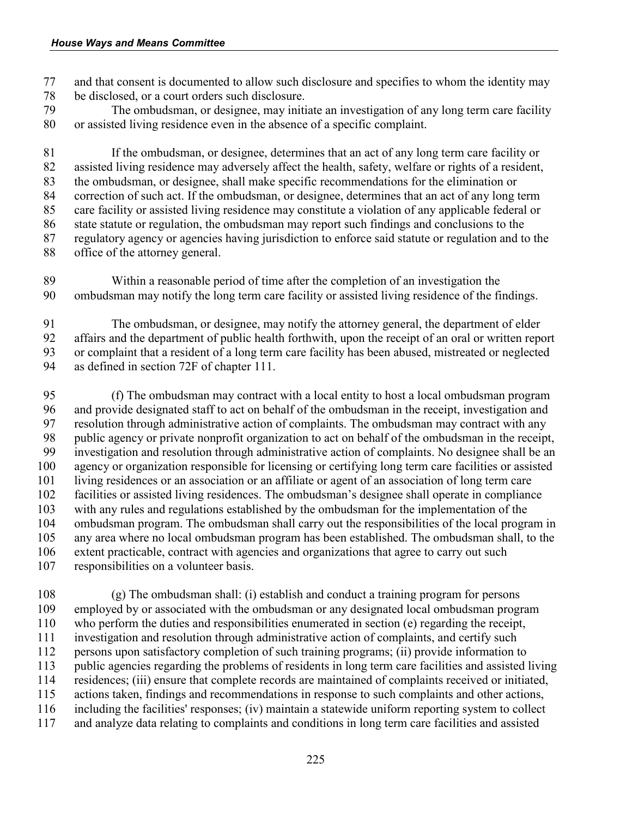and that consent is documented to allow such disclosure and specifies to whom the identity may be disclosed, or a court orders such disclosure.

 The ombudsman, or designee, may initiate an investigation of any long term care facility or assisted living residence even in the absence of a specific complaint.

 If the ombudsman, or designee, determines that an act of any long term care facility or assisted living residence may adversely affect the health, safety, welfare or rights of a resident, the ombudsman, or designee, shall make specific recommendations for the elimination or correction of such act. If the ombudsman, or designee, determines that an act of any long term care facility or assisted living residence may constitute a violation of any applicable federal or state statute or regulation, the ombudsman may report such findings and conclusions to the regulatory agency or agencies having jurisdiction to enforce said statute or regulation and to the office of the attorney general.

 Within a reasonable period of time after the completion of an investigation the ombudsman may notify the long term care facility or assisted living residence of the findings.

 The ombudsman, or designee, may notify the attorney general, the department of elder affairs and the department of public health forthwith, upon the receipt of an oral or written report or complaint that a resident of a long term care facility has been abused, mistreated or neglected as defined in section 72F of chapter 111.

 (f) The ombudsman may contract with a local entity to host a local ombudsman program and provide designated staff to act on behalf of the ombudsman in the receipt, investigation and resolution through administrative action of complaints. The ombudsman may contract with any public agency or private nonprofit organization to act on behalf of the ombudsman in the receipt, investigation and resolution through administrative action of complaints. No designee shall be an agency or organization responsible for licensing or certifying long term care facilities or assisted living residences or an association or an affiliate or agent of an association of long term care facilities or assisted living residences. The ombudsman's designee shall operate in compliance 103 with any rules and regulations established by the ombudsman for the implementation of the ombudsman program. The ombudsman shall carry out the responsibilities of the local program. ombudsman program. The ombudsman shall carry out the responsibilities of the local program in any area where no local ombudsman program has been established. The ombudsman shall, to the extent practicable, contract with agencies and organizations that agree to carry out such responsibilities on a volunteer basis.

 (g) The ombudsman shall: (i) establish and conduct a training program for persons employed by or associated with the ombudsman or any designated local ombudsman program who perform the duties and responsibilities enumerated in section (e) regarding the receipt, investigation and resolution through administrative action of complaints, and certify such persons upon satisfactory completion of such training programs; (ii) provide information to public agencies regarding the problems of residents in long term care facilities and assisted living residences; (iii) ensure that complete records are maintained of complaints received or initiated, actions taken, findings and recommendations in response to such complaints and other actions, including the facilities' responses; (iv) maintain a statewide uniform reporting system to collect and analyze data relating to complaints and conditions in long term care facilities and assisted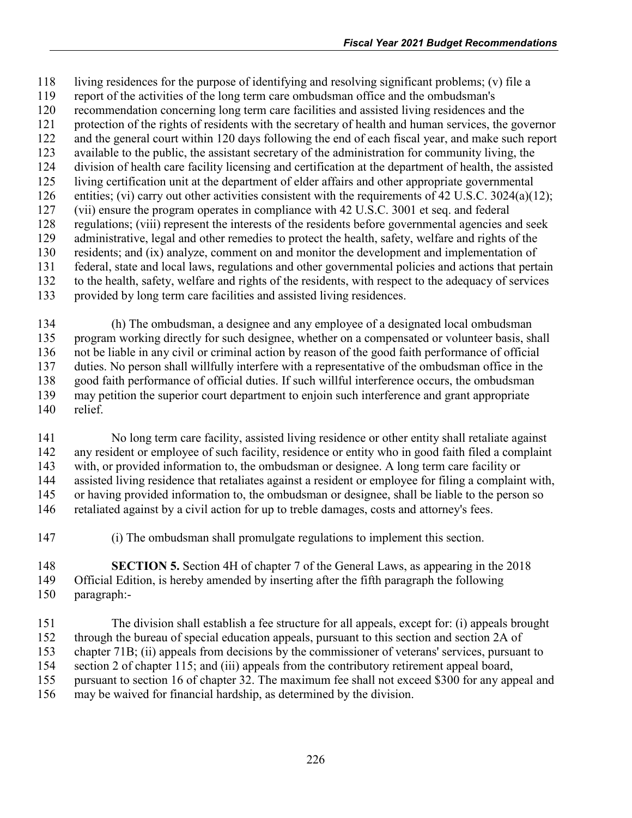living residences for the purpose of identifying and resolving significant problems; (v) file a

- report of the activities of the long term care ombudsman office and the ombudsman's
- recommendation concerning long term care facilities and assisted living residences and the protection of the rights of residents with the secretary of health and human services, the governor
- and the general court within 120 days following the end of each fiscal year, and make such report
- available to the public, the assistant secretary of the administration for community living, the
- division of health care facility licensing and certification at the department of health, the assisted
- living certification unit at the department of elder affairs and other appropriate governmental
- entities; (vi) carry out other activities consistent with the requirements of 42 U.S.C. 3024(a)(12);
- (vii) ensure the program operates in compliance with 42 U.S.C. 3001 et seq. and federal
- regulations; (viii) represent the interests of the residents before governmental agencies and seek administrative, legal and other remedies to protect the health, safety, welfare and rights of the
- residents; and (ix) analyze, comment on and monitor the development and implementation of
- federal, state and local laws, regulations and other governmental policies and actions that pertain
- to the health, safety, welfare and rights of the residents, with respect to the adequacy of services
- provided by long term care facilities and assisted living residences.

 (h) The ombudsman, a designee and any employee of a designated local ombudsman program working directly for such designee, whether on a compensated or volunteer basis, shall not be liable in any civil or criminal action by reason of the good faith performance of official duties. No person shall willfully interfere with a representative of the ombudsman office in the good faith performance of official duties. If such willful interference occurs, the ombudsman may petition the superior court department to enjoin such interference and grant appropriate relief.

 No long term care facility, assisted living residence or other entity shall retaliate against any resident or employee of such facility, residence or entity who in good faith filed a complaint with, or provided information to, the ombudsman or designee. A long term care facility or assisted living residence that retaliates against a resident or employee for filing a complaint with, or having provided information to, the ombudsman or designee, shall be liable to the person so retaliated against by a civil action for up to treble damages, costs and attorney's fees.

(i) The ombudsman shall promulgate regulations to implement this section.

 **SECTION 5.** Section 4H of chapter 7 of the General Laws, as appearing in the 2018 Official Edition, is hereby amended by inserting after the fifth paragraph the following paragraph:-

 The division shall establish a fee structure for all appeals, except for: (i) appeals brought through the bureau of special education appeals, pursuant to this section and section 2A of chapter 71B; (ii) appeals from decisions by the commissioner of veterans' services, pursuant to section 2 of chapter 115; and (iii) appeals from the contributory retirement appeal board, pursuant to section 16 of chapter 32. The maximum fee shall not exceed \$300 for any appeal and may be waived for financial hardship, as determined by the division.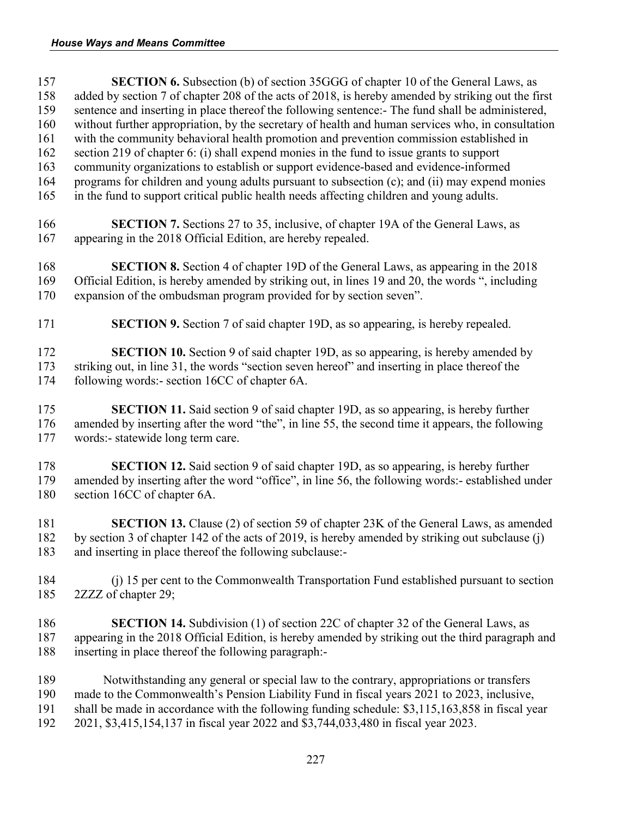**SECTION 6.** Subsection (b) of section 35GGG of chapter 10 of the General Laws, as 158 added by section 7 of chapter 208 of the acts of 2018, is hereby amended by striking out the first<br>159 sentence and inserting in place thereof the following sentence: The fund shall be administered, sentence and inserting in place thereof the following sentence:- The fund shall be administered, without further appropriation, by the secretary of health and human services who, in consultation with the community behavioral health promotion and prevention commission established in section 219 of chapter 6: (i) shall expend monies in the fund to issue grants to support community organizations to establish or support evidence-based and evidence-informed programs for children and young adults pursuant to subsection (c); and (ii) may expend monies in the fund to support critical public health needs affecting children and young adults. **SECTION 7.** Sections 27 to 35, inclusive, of chapter 19A of the General Laws, as appearing in the 2018 Official Edition, are hereby repealed. **SECTION 8.** Section 4 of chapter 19D of the General Laws, as appearing in the 2018 Official Edition, is hereby amended by striking out, in lines 19 and 20, the words ", including expansion of the ombudsman program provided for by section seven". **SECTION 9.** Section 7 of said chapter 19D, as so appearing, is hereby repealed. **SECTION 10.** Section 9 of said chapter 19D, as so appearing, is hereby amended by striking out, in line 31, the words "section seven hereof" and inserting in place thereof the following words:- section 16CC of chapter 6A. **SECTION 11.** Said section 9 of said chapter 19D, as so appearing, is hereby further amended by inserting after the word "the", in line 55, the second time it appears, the following words:- statewide long term care. **SECTION 12.** Said section 9 of said chapter 19D, as so appearing, is hereby further amended by inserting after the word "office", in line 56, the following words:- established un amended by inserting after the word "office", in line 56, the following words:- established under section 16CC of chapter 6A. **SECTION 13.** Clause (2) of section 59 of chapter 23K of the General Laws, as amended by section 3 of chapter 142 of the acts of 2019, is hereby amended by striking out subclause (j) and inserting in place thereof the following subclause:- (j) 15 per cent to the Commonwealth Transportation Fund established pursuant to section 2ZZZ of chapter 29; **SECTION 14.** Subdivision (1) of section 22C of chapter 32 of the General Laws, as appearing in the 2018 Official Edition, is hereby amended by striking out the third paragraph and inserting in place thereof the following paragraph:- Notwithstanding any general or special law to the contrary, appropriations or transfers made to the Commonwealth's Pension Liability Fund in fiscal years 2021 to 2023, inclusive, shall be made in accordance with the following funding schedule: \$3,115,163,858 in fiscal year 2021, \$3,415,154,137 in fiscal year 2022 and \$3,744,033,480 in fiscal year 2023.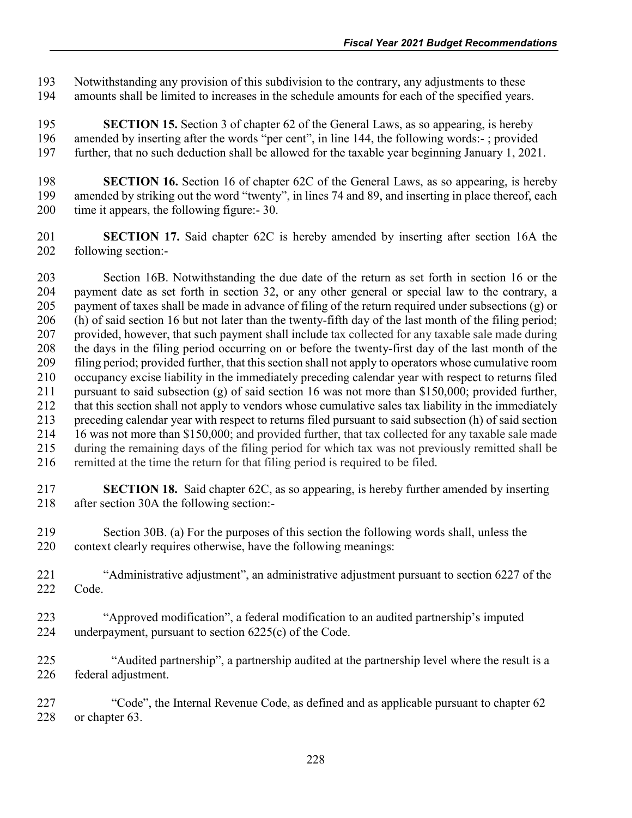Notwithstanding any provision of this subdivision to the contrary, any adjustments to these amounts shall be limited to increases in the schedule amounts for each of the specified years.

 **SECTION 15.** Section 3 of chapter 62 of the General Laws, as so appearing, is hereby amended by inserting after the words "per cent", in line 144, the following words:- ; provided further, that no such deduction shall be allowed for the taxable year beginning January 1, 2021.

198 **SECTION 16.** Section 16 of chapter 62C of the General Laws, as so appearing, is hereby<br>199 amended by striking out the word "twenty", in lines 74 and 89, and inserting in place thereof, each amended by striking out the word "twenty", in lines 74 and 89, and inserting in place thereof, each time it appears, the following figure:- 30.

**SECTION 17.** Said chapter 62C is hereby amended by inserting after section 16A the following section:following section:-

 Section 16B. Notwithstanding the due date of the return as set forth in section 16 or the payment date as set forth in section 32, or any other general or special law to the contrary, a payment of taxes shall be made in advance of filing of the return required under subsections (g) or (h) of said section 16 but not later than the twenty-fifth day of the last month of the filing period; provided, however, that such payment shall include tax collected for any taxable sale made during the days in the filing period occurring on or before the twenty-first day of the last month of the filing period; provided further, that this section shall not apply to operators whose cumulative room occupancy excise liability in the immediately preceding calendar year with respect to returns filed pursuant to said subsection (g) of said section 16 was not more than \$150,000; provided further, that this section shall not apply to vendors whose cumulative sales tax liability in the immediately preceding calendar year with respect to returns filed pursuant to said subsection (h) of said section 16 was not more than \$150,000; and provided further, that tax collected for any taxable sale made during the remaining days of the filing period for which tax was not previously remitted shall be remitted at the time the return for that filing period is required to be filed.

 **SECTION 18.** Said chapter 62C, as so appearing, is hereby further amended by inserting after section 30A the following section:-

 Section 30B. (a) For the purposes of this section the following words shall, unless the context clearly requires otherwise, have the following meanings:

 "Administrative adjustment", an administrative adjustment pursuant to section 6227 of the Code.

- "Approved modification", a federal modification to an audited partnership's imputed underpayment, pursuant to section 6225(c) of the Code.
- "Audited partnership", a partnership audited at the partnership level where the result is a federal adjustment.

 "Code", the Internal Revenue Code, as defined and as applicable pursuant to chapter 62 or chapter 63.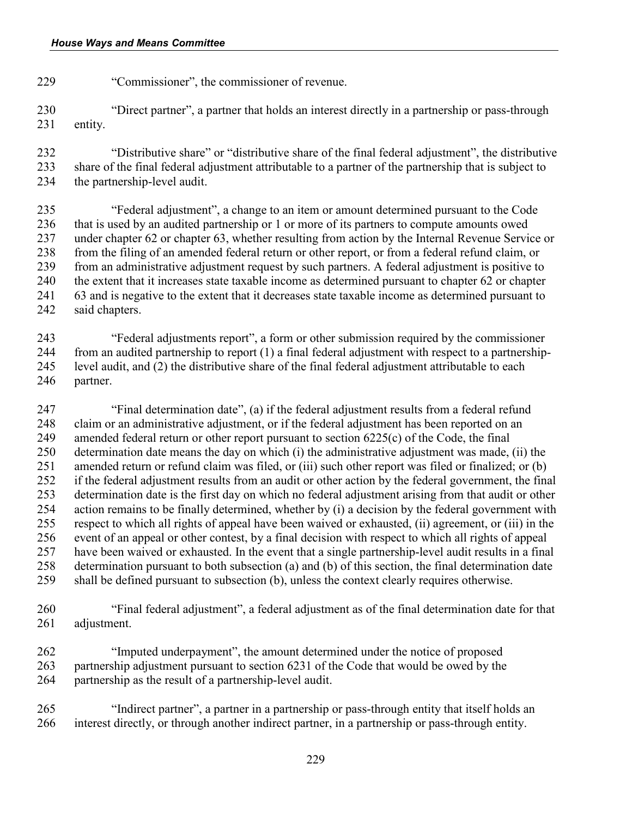"Commissioner", the commissioner of revenue.

 "Direct partner", a partner that holds an interest directly in a partnership or pass-through entity.

 "Distributive share" or "distributive share of the final federal adjustment", the distributive share of the final federal adjustment attributable to a partner of the partnership that is subject to the partnership-level audit.

 "Federal adjustment", a change to an item or amount determined pursuant to the Code that is used by an audited partnership or 1 or more of its partners to compute amounts owed under chapter 62 or chapter 63, whether resulting from action by the Internal Revenue Service or from the filing of an amended federal return or other report, or from a federal refund claim, or from an administrative adjustment request by such partners. A federal adjustment is positive to the extent that it increases state taxable income as determined pursuant to chapter 62 or chapter 63 and is negative to the extent that it decreases state taxable income as determined pursuant to said chapters.

 "Federal adjustments report", a form or other submission required by the commissioner from an audited partnership to report (1) a final federal adjustment with respect to a partnership- level audit, and (2) the distributive share of the final federal adjustment attributable to each partner.

 "Final determination date", (a) if the federal adjustment results from a federal refund claim or an administrative adjustment, or if the federal adjustment has been reported on an amended federal return or other report pursuant to section 6225(c) of the Code, the final determination date means the day on which (i) the administrative adjustment was made, (ii) the amended return or refund claim was filed, or (iii) such other report was filed or finalized; or (b) if the federal adjustment results from an audit or other action by the federal government, the final determination date is the first day on which no federal adjustment arising from that audit or other 254 action remains to be finally determined, whether by (i) a decision by the federal government with<br>255 respect to which all rights of appeal have been waived or exhausted, (ii) agreement, or (iii) in the respect to which all rights of appeal have been waived or exhausted, (ii) agreement, or (iii) in the event of an appeal or other contest, by a final decision with respect to which all rights of appeal have been waived or exhausted. In the event that a single partnership-level audit results in a final determination pursuant to both subsection (a) and (b) of this section, the final determination date shall be defined pursuant to subsection (b), unless the context clearly requires otherwise.

 "Final federal adjustment", a federal adjustment as of the final determination date for that adjustment.

 "Imputed underpayment", the amount determined under the notice of proposed partnership adjustment pursuant to section 6231 of the Code that would be owed by the partnership as the result of a partnership-level audit.

 "Indirect partner", a partner in a partnership or pass-through entity that itself holds an interest directly, or through another indirect partner, in a partnership or pass-through entity.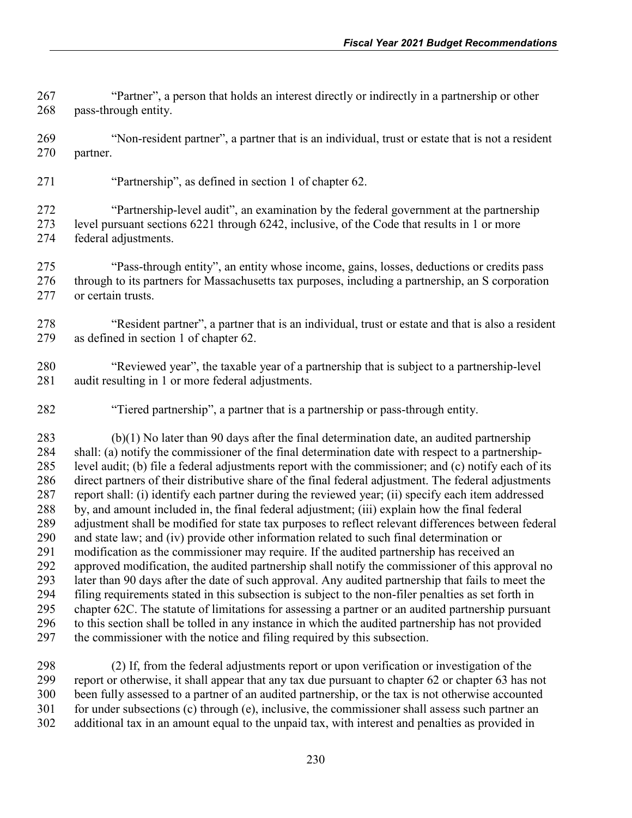"Partner", a person that holds an interest directly or indirectly in a partnership or other 268 pass-through entity.

269 "Non-resident partner", a partner that is an individual, trust or estate that is not a resident partner.

"Partnership", as defined in section 1 of chapter 62.

 "Partnership-level audit", an examination by the federal government at the partnership level pursuant sections 6221 through 6242, inclusive, of the Code that results in 1 or more federal adjustments.

 "Pass‐through entity", an entity whose income, gains, losses, deductions or credits pass through to its partners for Massachusetts tax purposes, including a partnership, an S corporation or certain trusts.

- "Resident partner", a partner that is an individual, trust or estate and that is also a resident as defined in section 1 of chapter 62.
- "Reviewed year", the taxable year of a partnership that is subject to a partnership-level audit resulting in 1 or more federal adjustments.
- 282 "Tiered partnership", a partner that is a partnership or pass-through entity.

 (b)(1) No later than 90 days after the final determination date, an audited partnership shall: (a) notify the commissioner of the final determination date with respect to a partnership- level audit; (b) file a federal adjustments report with the commissioner; and (c) notify each of its direct partners of their distributive share of the final federal adjustment. The federal adjustments report shall: (i) identify each partner during the reviewed year; (ii) specify each item addressed 288 by, and amount included in, the final federal adjustment; (iii) explain how the final federal adjustment shall be modified for state tax purposes to reflect relevant differences between 1 adjustment shall be modified for state tax purposes to reflect relevant differences between federal and state law; and (iv) provide other information related to such final determination or modification as the commissioner may require. If the audited partnership has received an approved modification, the audited partnership shall notify the commissioner of this approval no later than 90 days after the date of such approval. Any audited partnership that fails to meet the filing requirements stated in this subsection is subject to the non-filer penalties as set forth in chapter 62C. The statute of limitations for assessing a partner or an audited partnership pursuant to this section shall be tolled in any instance in which the audited partnership has not provided the commissioner with the notice and filing required by this subsection.

 (2) If, from the federal adjustments report or upon verification or investigation of the report or otherwise, it shall appear that any tax due pursuant to chapter 62 or chapter 63 has not been fully assessed to a partner of an audited partnership, or the tax is not otherwise accounted for under subsections (c) through (e), inclusive, the commissioner shall assess such partner an additional tax in an amount equal to the unpaid tax, with interest and penalties as provided in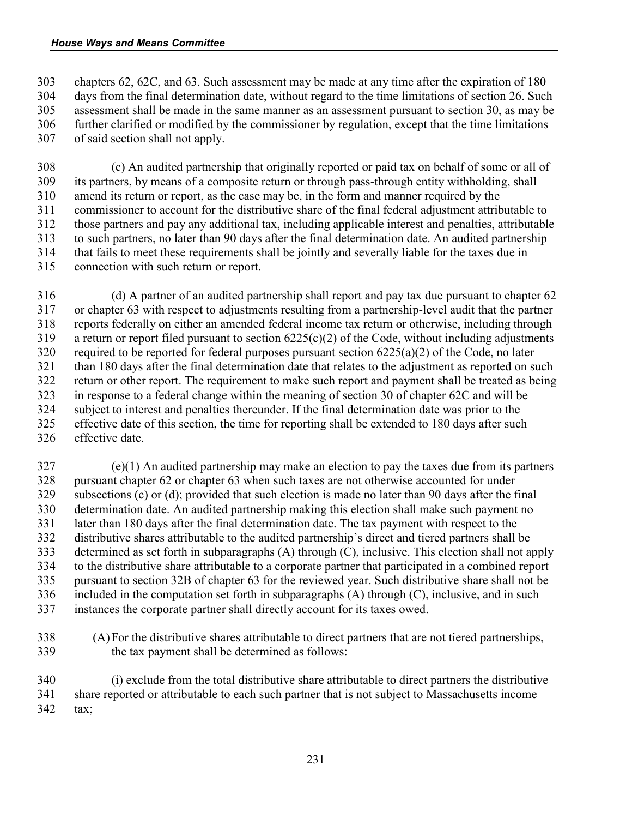chapters 62, 62C, and 63. Such assessment may be made at any time after the expiration of 180 days from the final determination date, without regard to the time limitations of section 26. Such assessment shall be made in the same manner as an assessment pursuant to section 30, as may be further clarified or modified by the commissioner by regulation, except that the time limitations of said section shall not apply.

 (c) An audited partnership that originally reported or paid tax on behalf of some or all of its partners, by means of a composite return or through pass-through entity withholding, shall amend its return or report, as the case may be, in the form and manner required by the commissioner to account for the distributive share of the final federal adjustment attributable to those partners and pay any additional tax, including applicable interest and penalties, attributable to such partners, no later than 90 days after the final determination date. An audited partnership that fails to meet these requirements shall be jointly and severally liable for the taxes due in connection with such return or report.

 (d) A partner of an audited partnership shall report and pay tax due pursuant to chapter 62 or chapter 63 with respect to adjustments resulting from a partnership-level audit that the partner reports federally on either an amended federal income tax return or otherwise, including through 319 a return or report filed pursuant to section  $6225(c)(2)$  of the Code, without including adjustments 320 required to be reported for federal purposes pursuant section  $6225(a)(2)$  of the Code, no later than 180 days after the final determination date that relates to the adjustment as reported on such return or other report. The requirement to make such report and payment shall be treated as being in response to a federal change within the meaning of section 30 of chapter 62C and will be subject to interest and penalties thereunder. If the final determination date was prior to the effective date of this section, the time for reporting shall be extended to 180 days after such effective date.

 (e)(1) An audited partnership may make an election to pay the taxes due from its partners pursuant chapter 62 or chapter 63 when such taxes are not otherwise accounted for under subsections (c) or (d); provided that such election is made no later than 90 days after the final determination date. An audited partnership making this election shall make such payment no later than 180 days after the final determination date. The tax payment with respect to the distributive shares attributable to the audited partnership's direct and tiered partners shall be determined as set forth in subparagraphs (A) through (C), inclusive. This election shall not apply to the distributive share attributable to a corporate partner that participated in a combined report pursuant to section 32B of chapter 63 for the reviewed year. Such distributive share shall not be included in the computation set forth in subparagraphs (A) through (C), inclusive, and in such instances the corporate partner shall directly account for its taxes owed.

 (A)For the distributive shares attributable to direct partners that are not tiered partnerships, the tax payment shall be determined as follows:

 (i) exclude from the total distributive share attributable to direct partners the distributive share reported or attributable to each such partner that is not subject to Massachusetts income tax;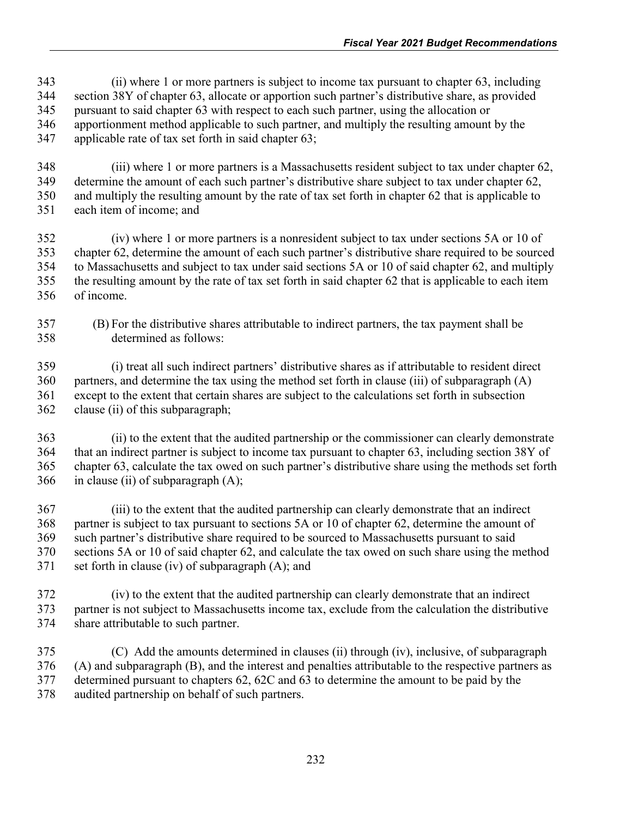(ii) where 1 or more partners is subject to income tax pursuant to chapter 63, including section 38Y of chapter 63, allocate or apportion such partner's distributive share, as provided pursuant to said chapter 63 with respect to each such partner, using the allocation or apportionment method applicable to such partner, and multiply the resulting amount by the applicable rate of tax set forth in said chapter 63;

 (iii) where 1 or more partners is a Massachusetts resident subject to tax under chapter 62, determine the amount of each such partner's distributive share subject to tax under chapter 62, and multiply the resulting amount by the rate of tax set forth in chapter 62 that is applicable to each item of income; and

 (iv) where 1 or more partners is a nonresident subject to tax under sections 5A or 10 of chapter 62, determine the amount of each such partner's distributive share required to be sourced to Massachusetts and subject to tax under said sections 5A or 10 of said chapter 62, and multiply the resulting amount by the rate of tax set forth in said chapter 62 that is applicable to each item of income.

 (B) For the distributive shares attributable to indirect partners, the tax payment shall be determined as follows:

 (i) treat all such indirect partners' distributive shares as if attributable to resident direct partners, and determine the tax using the method set forth in clause (iii) of subparagraph (A) except to the extent that certain shares are subject to the calculations set forth in subsection clause (ii) of this subparagraph;

 (ii) to the extent that the audited partnership or the commissioner can clearly demonstrate that an indirect partner is subject to income tax pursuant to chapter 63, including section 38Y of chapter 63, calculate the tax owed on such partner's distributive share using the methods set forth in clause (ii) of subparagraph  $(A)$ ;

 (iii) to the extent that the audited partnership can clearly demonstrate that an indirect partner is subject to tax pursuant to sections 5A or 10 of chapter 62, determine the amount of such partner's distributive share required to be sourced to Massachusetts pursuant to said sections 5A or 10 of said chapter 62, and calculate the tax owed on such share using the method set forth in clause (iv) of subparagraph (A); and

- (iv) to the extent that the audited partnership can clearly demonstrate that an indirect partner is not subject to Massachusetts income tax, exclude from the calculation the distributive share attributable to such partner.
- (C) Add the amounts determined in clauses (ii) through (iv), inclusive, of subparagraph (A) and subparagraph (B), and the interest and penalties attributable to the respective partners as determined pursuant to chapters 62, 62C and 63 to determine the amount to be paid by the audited partnership on behalf of such partners.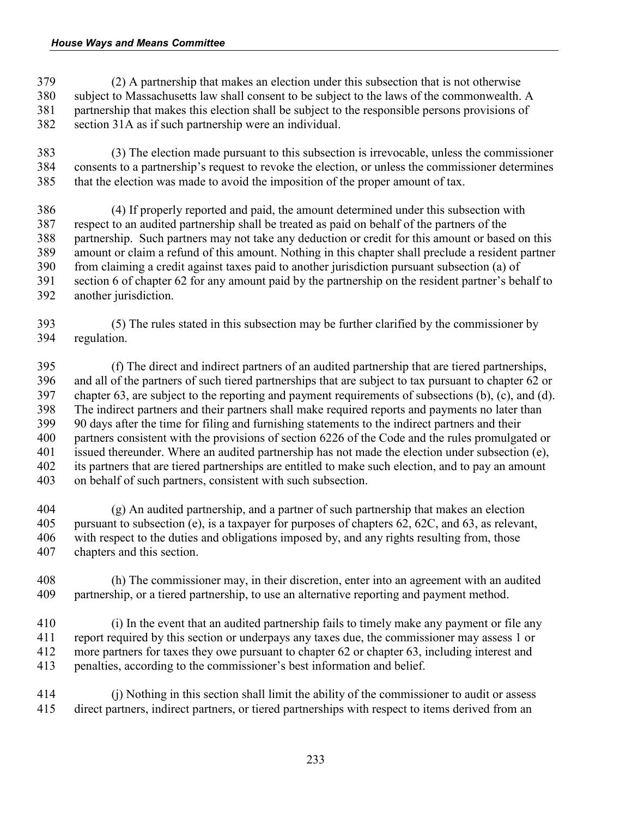(2) A partnership that makes an election under this subsection that is not otherwise subject to Massachusetts law shall consent to be subject to the laws of the commonwealth. A partnership that makes this election shall be subject to the responsible persons provisions of section 31A as if such partnership were an individual.

 (3) The election made pursuant to this subsection is irrevocable, unless the commissioner consents to a partnership's request to revoke the election, or unless the commissioner determines that the election was made to avoid the imposition of the proper amount of tax.

 (4) If properly reported and paid, the amount determined under this subsection with respect to an audited partnership shall be treated as paid on behalf of the partners of the partnership. Such partners may not take any deduction or credit for this amount or based on this amount or claim a refund of this amount. Nothing in this chapter shall preclude a resident partner from claiming a credit against taxes paid to another jurisdiction pursuant subsection (a) of section 6 of chapter 62 for any amount paid by the partnership on the resident partner's behalf to another jurisdiction.

 (5) The rules stated in this subsection may be further clarified by the commissioner by regulation.

 (f) The direct and indirect partners of an audited partnership that are tiered partnerships, and all of the partners of such tiered partnerships that are subject to tax pursuant to chapter 62 or chapter 63, are subject to the reporting and payment requirements of subsections (b), (c), and (d). The indirect partners and their partners shall make required reports and payments no later than 90 days after the time for filing and furnishing statements to the indirect partners and their partners consistent with the provisions of section 6226 of the Code and the rules promulgated or issued thereunder. Where an audited partnership has not made the election under subsection (e), its partners that are tiered partnerships are entitled to make such election, and to pay an amount on behalf of such partners, consistent with such subsection.

 (g) An audited partnership, and a partner of such partnership that makes an election pursuant to subsection (e), is a taxpayer for purposes of chapters 62, 62C, and 63, as relevant, with respect to the duties and obligations imposed by, and any rights resulting from, those chapters and this section.

 (h) The commissioner may, in their discretion, enter into an agreement with an audited partnership, or a tiered partnership, to use an alternative reporting and payment method.

 (i) In the event that an audited partnership fails to timely make any payment or file any report required by this section or underpays any taxes due, the commissioner may assess 1 or more partners for taxes they owe pursuant to chapter 62 or chapter 63, including interest and penalties, according to the commissioner's best information and belief.

 (j) Nothing in this section shall limit the ability of the commissioner to audit or assess direct partners, indirect partners, or tiered partnerships with respect to items derived from an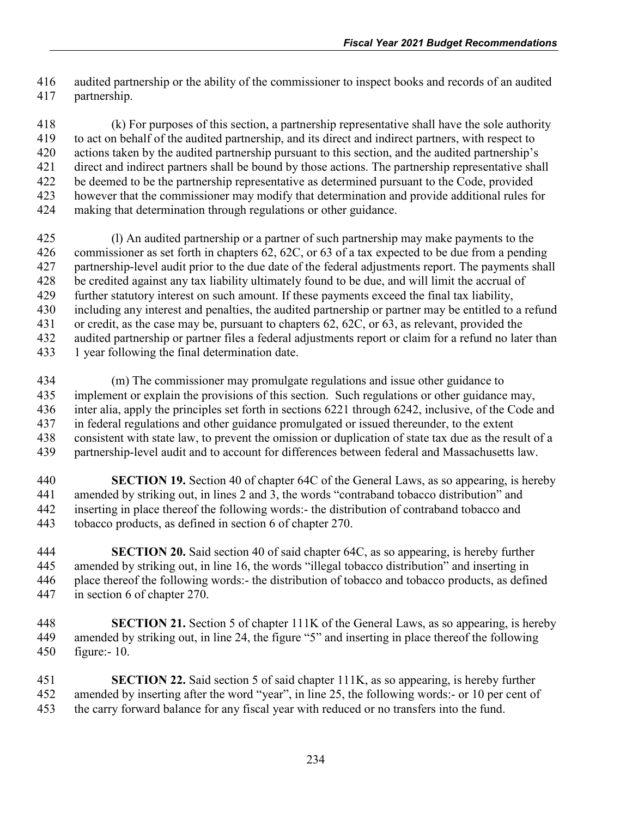audited partnership or the ability of the commissioner to inspect books and records of an audited partnership.

 (k) For purposes of this section, a partnership representative shall have the sole authority to act on behalf of the audited partnership, and its direct and indirect partners, with respect to actions taken by the audited partnership pursuant to this section, and the audited partnership's direct and indirect partners shall be bound by those actions. The partnership representative shall be deemed to be the partnership representative as determined pursuant to the Code, provided however that the commissioner may modify that determination and provide additional rules for making that determination through regulations or other guidance.

 (l) An audited partnership or a partner of such partnership may make payments to the commissioner as set forth in chapters 62, 62C, or 63 of a tax expected to be due from a pending partnership-level audit prior to the due date of the federal adjustments report. The payments shall be credited against any tax liability ultimately found to be due, and will limit the accrual of further statutory interest on such amount. If these payments exceed the final tax liability, including any interest and penalties, the audited partnership or partner may be entitled to a refund or credit, as the case may be, pursuant to chapters 62, 62C, or 63, as relevant, provided the audited partnership or partner files a federal adjustments report or claim for a refund no later than 433 1 year following the final determination date.

 (m) The commissioner may promulgate regulations and issue other guidance to implement or explain the provisions of this section. Such regulations or other guidance may, inter alia, apply the principles set forth in sections 6221 through 6242, inclusive, of the Code and in federal regulations and other guidance promulgated or issued thereunder, to the extent consistent with state law, to prevent the omission or duplication of state tax due as the result of a partnership-level audit and to account for differences between federal and Massachusetts law.

 **SECTION 19.** Section 40 of chapter 64C of the General Laws, as so appearing, is hereby amended by striking out, in lines 2 and 3, the words "contraband tobacco distribution" and inserting in place thereof the following words:- the distribution of contraband tobacco and tobacco products, as defined in section 6 of chapter 270.

 **SECTION 20.** Said section 40 of said chapter 64C, as so appearing, is hereby further amended by striking out, in line 16, the words "illegal tobacco distribution" and inserting in place thereof the following words:- the distribution of tobacco and tobacco products, as defined in section 6 of chapter 270.

 **SECTION 21.** Section 5 of chapter 111K of the General Laws, as so appearing, is hereby amended by striking out, in line 24, the figure "5" and inserting in place thereof the following figure:- 10.

 **SECTION 22.** Said section 5 of said chapter 111K, as so appearing, is hereby further amended by inserting after the word "year", in line 25, the following words:- or 10 per cent of the carry forward balance for any fiscal year with reduced or no transfers into the fund.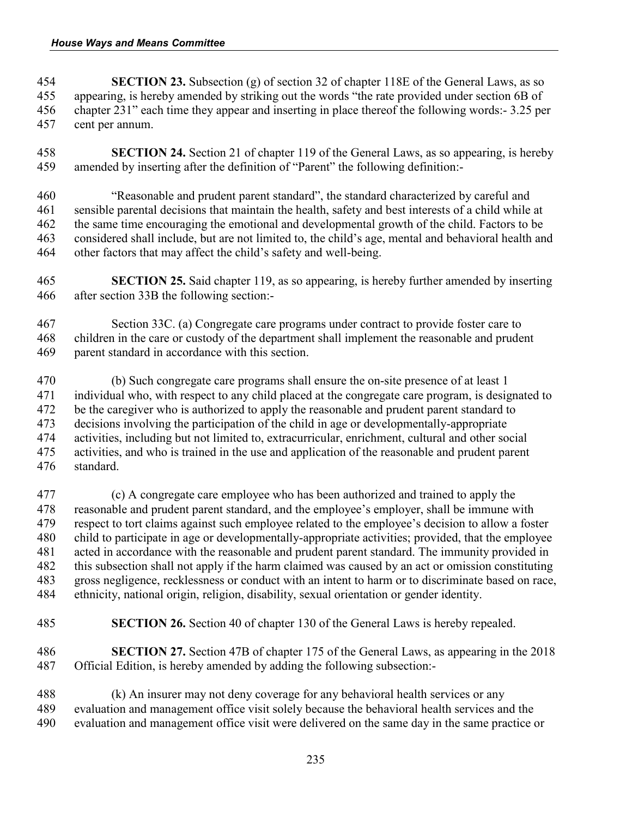- **SECTION 23.** Subsection (g) of section 32 of chapter 118E of the General Laws, as so appearing, is hereby amended by striking out the words "the rate provided under section 6B of chapter 231" each time they appear and inserting in place thereof the following words:- 3.25 per cent per annum.
- **SECTION 24.** Section 21 of chapter 119 of the General Laws, as so appearing, is hereby amended by inserting after the definition of "Parent" the following definition:-
- "Reasonable and prudent parent standard", the standard characterized by careful and sensible parental decisions that maintain the health, safety and best interests of a child while at the same time encouraging the emotional and developmental growth of the child. Factors to be considered shall include, but are not limited to, the child's age, mental and behavioral health and other factors that may affect the child's safety and well-being.
- **SECTION 25.** Said chapter 119, as so appearing, is hereby further amended by inserting after section 33B the following section:-
- Section 33C. (a) Congregate care programs under contract to provide foster care to children in the care or custody of the department shall implement the reasonable and prudent parent standard in accordance with this section.
- (b) Such congregate care programs shall ensure the on-site presence of at least 1 individual who, with respect to any child placed at the congregate care program, is designated to 472 be the caregiver who is authorized to apply the reasonable and prudent parent standard to decisions involving the participation of the child in age or developmentally-appropriate activities, including but not limited to, extracurricular, enrichment, cultural and other social activities, and who is trained in the use and application of the reasonable and prudent parent standard.
- (c) A congregate care employee who has been authorized and trained to apply the reasonable and prudent parent standard, and the employee's employer, shall be immune with respect to tort claims against such employee related to the employee's decision to allow a foster child to participate in age or developmentally-appropriate activities; provided, that the employee acted in accordance with the reasonable and prudent parent standard. The immunity provided in this subsection shall not apply if the harm claimed was caused by an act or omission constituting gross negligence, recklessness or conduct with an intent to harm or to discriminate based on race, ethnicity, national origin, religion, disability, sexual orientation or gender identity.
- **SECTION 26.** Section 40 of chapter 130 of the General Laws is hereby repealed.
- **SECTION 27.** Section 47B of chapter 175 of the General Laws, as appearing in the 2018 Official Edition, is hereby amended by adding the following subsection:-
- (k) An insurer may not deny coverage for any behavioral health services or any evaluation and management office visit solely because the behavioral health services and the evaluation and management office visit were delivered on the same day in the same practice or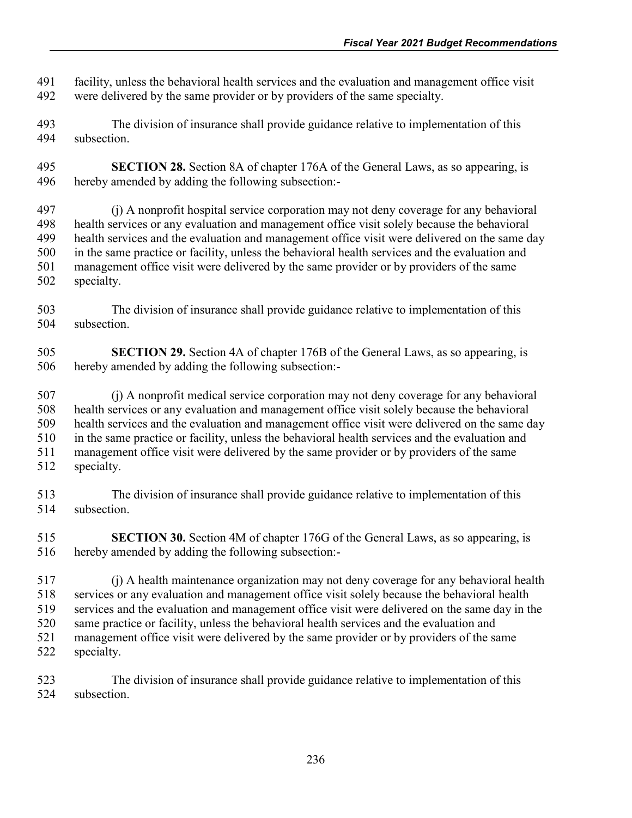facility, unless the behavioral health services and the evaluation and management office visit were delivered by the same provider or by providers of the same specialty.

- The division of insurance shall provide guidance relative to implementation of this subsection.
- **SECTION 28.** Section 8A of chapter 176A of the General Laws, as so appearing, is hereby amended by adding the following subsection:-

 (j) A nonprofit hospital service corporation may not deny coverage for any behavioral health services or any evaluation and management office visit solely because the behavioral health services and the evaluation and management office visit were delivered on the same day in the same practice or facility, unless the behavioral health services and the evaluation and management office visit were delivered by the same provider or by providers of the same specialty.

- The division of insurance shall provide guidance relative to implementation of this subsection.
- **SECTION 29.** Section 4A of chapter 176B of the General Laws, as so appearing, is hereby amended by adding the following subsection:-
- (j) A nonprofit medical service corporation may not deny coverage for any behavioral health services or any evaluation and management office visit solely because the behavioral health services and the evaluation and management office visit were delivered on the same day in the same practice or facility, unless the behavioral health services and the evaluation and management office visit were delivered by the same provider or by providers of the same specialty.
- The division of insurance shall provide guidance relative to implementation of this subsection.
- **SECTION 30.** Section 4M of chapter 176G of the General Laws, as so appearing, is hereby amended by adding the following subsection:-
- (j) A health maintenance organization may not deny coverage for any behavioral health services or any evaluation and management office visit solely because the behavioral health services and the evaluation and management office visit were delivered on the same day in the same practice or facility, unless the behavioral health services and the evaluation and management office visit were delivered by the same provider or by providers of the same specialty.
- The division of insurance shall provide guidance relative to implementation of this subsection.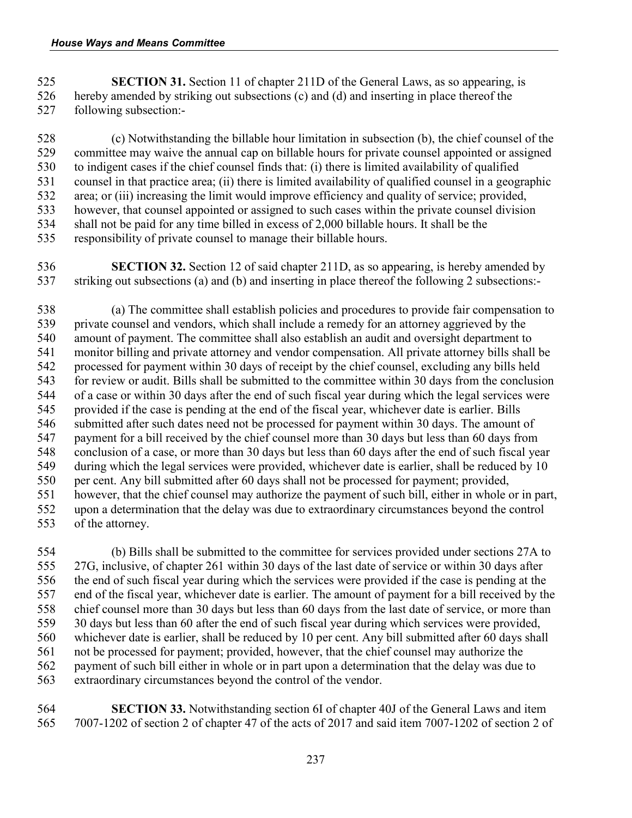**SECTION 31.** Section 11 of chapter 211D of the General Laws, as so appearing, is hereby amended by striking out subsections (c) and (d) and inserting in place thereof the following subsection:-

 (c) Notwithstanding the billable hour limitation in subsection (b), the chief counsel of the committee may waive the annual cap on billable hours for private counsel appointed or assigned to indigent cases if the chief counsel finds that: (i) there is limited availability of qualified counsel in that practice area; (ii) there is limited availability of qualified counsel in a geographic area; or (iii) increasing the limit would improve efficiency and quality of service; provided, however, that counsel appointed or assigned to such cases within the private counsel division shall not be paid for any time billed in excess of 2,000 billable hours. It shall be the responsibility of private counsel to manage their billable hours.

 **SECTION 32.** Section 12 of said chapter 211D, as so appearing, is hereby amended by striking out subsections (a) and (b) and inserting in place thereof the following 2 subsections:-

 (a) The committee shall establish policies and procedures to provide fair compensation to private counsel and vendors, which shall include a remedy for an attorney aggrieved by the amount of payment. The committee shall also establish an audit and oversight department to monitor billing and private attorney and vendor compensation. All private attorney bills shall be processed for payment within 30 days of receipt by the chief counsel, excluding any bills held for review or audit. Bills shall be submitted to the committee within 30 days from the conclusion of a case or within 30 days after the end of such fiscal year during which the legal services were provided if the case is pending at the end of the fiscal year, whichever date is earlier. Bills 546 submitted after such dates need not be processed for payment within 30 days. The amount of payment for a bill received by the chief counsel more than 30 days but less than 60 days from conclusion of a case, or more than 30 days but less than 60 days after the end of such fiscal year during which the legal services were provided, whichever date is earlier, shall be reduced by 10 per cent. Any bill submitted after 60 days shall not be processed for payment; provided, however, that the chief counsel may authorize the payment of such bill, either in whole or in part, 552 upon a determination that the delay was due to extraordinary circumstances beyond the control<br>553 of the attorney. of the attorney.

 (b) Bills shall be submitted to the committee for services provided under sections 27A to 27G, inclusive, of chapter 261 within 30 days of the last date of service or within 30 days after the end of such fiscal year during which the services were provided if the case is pending at the end of the fiscal year, whichever date is earlier. The amount of payment for a bill received by the chief counsel more than 30 days but less than 60 days from the last date of service, or more than 30 days but less than 60 after the end of such fiscal year during which services were provided, whichever date is earlier, shall be reduced by 10 per cent. Any bill submitted after 60 days shall not be processed for payment; provided, however, that the chief counsel may authorize the payment of such bill either in whole or in part upon a determination that the delay was due to extraordinary circumstances beyond the control of the vendor.

 **SECTION 33.** Notwithstanding section 6I of chapter 40J of the General Laws and item 7007-1202 of section 2 of chapter 47 of the acts of 2017 and said item 7007-1202 of section 2 of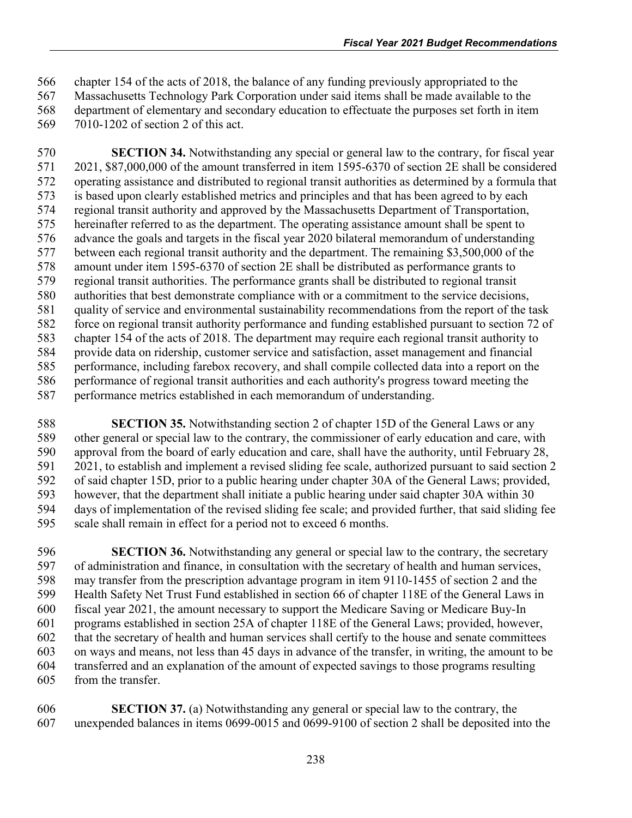chapter 154 of the acts of 2018, the balance of any funding previously appropriated to the

Massachusetts Technology Park Corporation under said items shall be made available to the

 department of elementary and secondary education to effectuate the purposes set forth in item 7010-1202 of section 2 of this act.

 **SECTION 34.** Notwithstanding any special or general law to the contrary, for fiscal year 2021, \$87,000,000 of the amount transferred in item 1595-6370 of section 2E shall be considered operating assistance and distributed to regional transit authorities as determined by a formula that is based upon clearly established metrics and principles and that has been agreed to by each regional transit authority and approved by the Massachusetts Department of Transportation, hereinafter referred to as the department. The operating assistance amount shall be spent to advance the goals and targets in the fiscal year 2020 bilateral memorandum of understanding between each regional transit authority and the department. The remaining \$3,500,000 of the amount under item 1595-6370 of section 2E shall be distributed as performance grants to regional transit authorities. The performance grants shall be distributed to regional transit authorities that best demonstrate compliance with or a commitment to the service decisions, quality of service and environmental sustainability recommendations from the report of the task force on regional transit authority performance and funding established pursuant to section 72 of chapter 154 of the acts of 2018. The department may require each regional transit authority to provide data on ridership, customer service and satisfaction, asset management and financial performance, including farebox recovery, and shall compile collected data into a report on the performance of regional transit authorities and each authority's progress toward meeting the performance metrics established in each memorandum of understanding.

 **SECTION 35.** Notwithstanding section 2 of chapter 15D of the General Laws or any other general or special law to the contrary, the commissioner of early education and care, with approval from the board of early education and care, shall have the authority, until February 28, 2021, to establish and implement a revised sliding fee scale, authorized pursuant to said section 2 of said chapter 15D, prior to a public hearing under chapter 30A of the General Laws; provided, however, that the department shall initiate a public hearing under said chapter 30A within 30 594 days of implementation of the revised sliding fee scale; and provided further, that said sliding fee scale shall remain in effect for a period not to exceed 6 months. scale shall remain in effect for a period not to exceed 6 months.

 **SECTION 36.** Notwithstanding any general or special law to the contrary, the secretary of administration and finance, in consultation with the secretary of health and human services, may transfer from the prescription advantage program in item 9110-1455 of section 2 and the Health Safety Net Trust Fund established in section 66 of chapter 118E of the General Laws in fiscal year 2021, the amount necessary to support the Medicare Saving or Medicare Buy-In programs established in section 25A of chapter 118E of the General Laws; provided, however, that the secretary of health and human services shall certify to the house and senate committees on ways and means, not less than 45 days in advance of the transfer, in writing, the amount to be transferred and an explanation of the amount of expected savings to those programs resulting from the transfer.

 **SECTION 37.** (a) Notwithstanding any general or special law to the contrary, the unexpended balances in items 0699-0015 and 0699-9100 of section 2 shall be deposited into the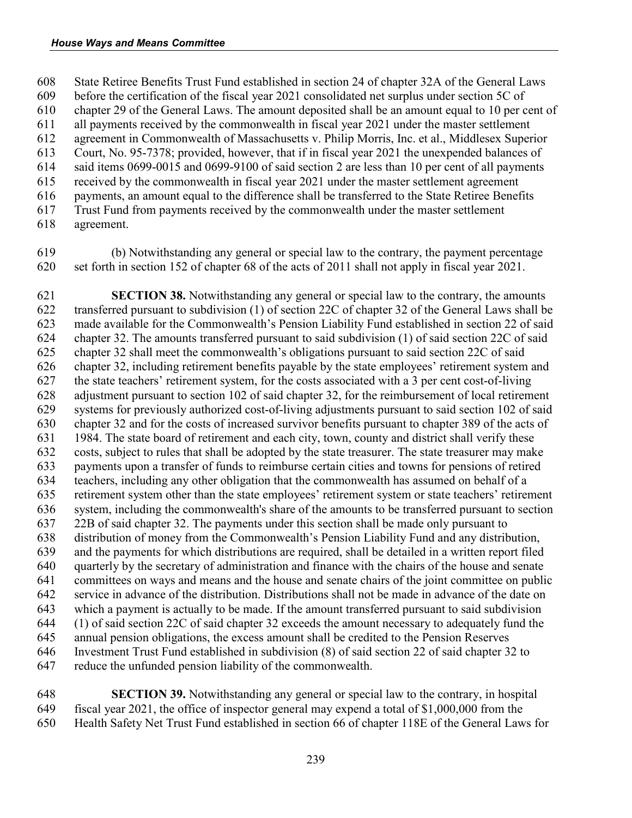State Retiree Benefits Trust Fund established in section 24 of chapter 32A of the General Laws

before the certification of the fiscal year 2021 consolidated net surplus under section 5C of

chapter 29 of the General Laws. The amount deposited shall be an amount equal to 10 per cent of

 all payments received by the commonwealth in fiscal year 2021 under the master settlement agreement in Commonwealth of Massachusetts v. Philip Morris, Inc. et al., Middlesex Superior

Court, No. 95-7378; provided, however, that if in fiscal year 2021 the unexpended balances of

said items 0699-0015 and 0699-9100 of said section 2 are less than 10 per cent of all payments

received by the commonwealth in fiscal year 2021 under the master settlement agreement

payments, an amount equal to the difference shall be transferred to the State Retiree Benefits

Trust Fund from payments received by the commonwealth under the master settlement

agreement.

 (b) Notwithstanding any general or special law to the contrary, the payment percentage set forth in section 152 of chapter 68 of the acts of 2011 shall not apply in fiscal year 2021.

 **SECTION 38.** Notwithstanding any general or special law to the contrary, the amounts transferred pursuant to subdivision (1) of section 22C of chapter 32 of the General Laws shall be made available for the Commonwealth's Pension Liability Fund established in section 22 of said chapter 32. The amounts transferred pursuant to said subdivision (1) of said section 22C of said chapter 32 shall meet the commonwealth's obligations pursuant to said section 22C of said chapter 32, including retirement benefits payable by the state employees' retirement system and the state teachers' retirement system, for the costs associated with a 3 per cent cost-of-living adjustment pursuant to section 102 of said chapter 32, for the reimbursement of local retirement systems for previously authorized cost-of-living adjustments pursuant to said section 102 of said chapter 32 and for the costs of increased survivor benefits pursuant to chapter 389 of the acts of 1984. The state board of retirement and each city, town, county and district shall verify these costs, subject to rules that shall be adopted by the state treasurer. The state treasurer may make payments upon a transfer of funds to reimburse certain cities and towns for pensions of retired teachers, including any other obligation that the commonwealth has assumed on behalf of a retirement system other than the state employees' retirement system or state teachers' retirement system, including the commonwealth's share of the amounts to be transferred pursuant to section 22B of said chapter 32. The payments under this section shall be made only pursuant to distribution of money from the Commonwealth's Pension Liability Fund and any distribution, and the payments for which distributions are required, shall be detailed in a written report filed quarterly by the secretary of administration and finance with the chairs of the house and senate committees on ways and means and the house and senate chairs of the joint committee on public service in advance of the distribution. Distributions shall not be made in advance of the date on which a payment is actually to be made. If the amount transferred pursuant to said subdivision (1) of said section 22C of said chapter 32 exceeds the amount necessary to adequately fund the annual pension obligations, the excess amount shall be credited to the Pension Reserves Investment Trust Fund established in subdivision (8) of said section 22 of said chapter 32 to reduce the unfunded pension liability of the commonwealth.

 **SECTION 39.** Notwithstanding any general or special law to the contrary, in hospital fiscal year 2021, the office of inspector general may expend a total of \$1,000,000 from the Health Safety Net Trust Fund established in section 66 of chapter 118E of the General Laws for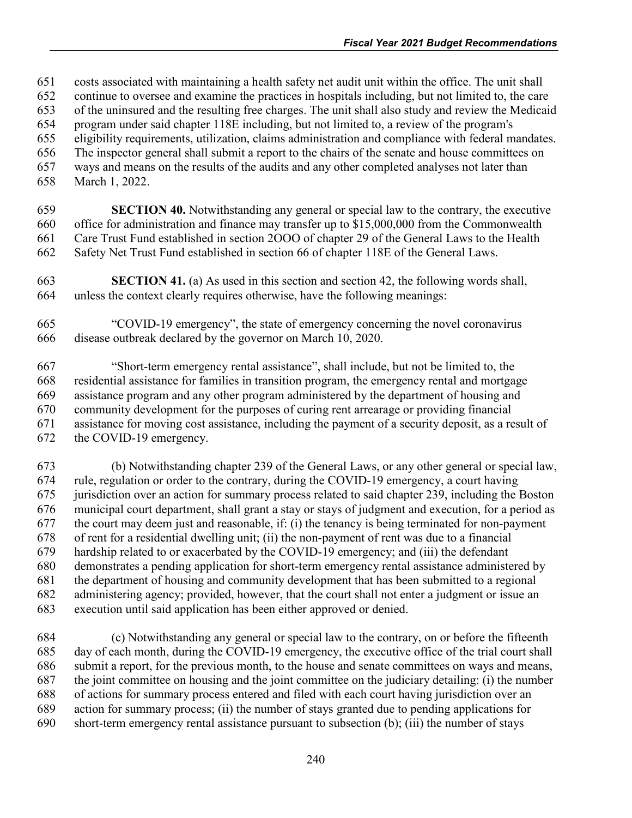costs associated with maintaining a health safety net audit unit within the office. The unit shall continue to oversee and examine the practices in hospitals including, but not limited to, the care of the uninsured and the resulting free charges. The unit shall also study and review the Medicaid program under said chapter 118E including, but not limited to, a review of the program's eligibility requirements, utilization, claims administration and compliance with federal mandates. The inspector general shall submit a report to the chairs of the senate and house committees on ways and means on the results of the audits and any other completed analyses not later than March 1, 2022. **SECTION 40.** Notwithstanding any general or special law to the contrary, the executive office for administration and finance may transfer up to \$15,000,000 from the Commonwealth

- Care Trust Fund established in section 2OOO of chapter 29 of the General Laws to the Health Safety Net Trust Fund established in section 66 of chapter 118E of the General Laws.
- **SECTION 41.** (a) As used in this section and section 42, the following words shall, unless the context clearly requires otherwise, have the following meanings:
- "COVID-19 emergency", the state of emergency concerning the novel coronavirus disease outbreak declared by the governor on March 10, 2020.

 "Short-term emergency rental assistance", shall include, but not be limited to, the residential assistance for families in transition program, the emergency rental and mortgage assistance program and any other program administered by the department of housing and community development for the purposes of curing rent arrearage or providing financial assistance for moving cost assistance, including the payment of a security deposit, as a result of the COVID-19 emergency.

 (b) Notwithstanding chapter 239 of the General Laws, or any other general or special law, rule, regulation or order to the contrary, during the COVID-19 emergency, a court having jurisdiction over an action for summary process related to said chapter 239, including the Boston municipal court department, shall grant a stay or stays of judgment and execution, for a period as the court may deem just and reasonable, if: (i) the tenancy is being terminated for non-payment of rent for a residential dwelling unit; (ii) the non-payment of rent was due to a financial hardship related to or exacerbated by the COVID-19 emergency; and (iii) the defendant demonstrates a pending application for short-term emergency rental assistance administered by the department of housing and community development that has been submitted to a regional administering agency; provided, however, that the court shall not enter a judgment or issue an execution until said application has been either approved or denied.

 (c) Notwithstanding any general or special law to the contrary, on or before the fifteenth day of each month, during the COVID-19 emergency, the executive office of the trial court shall submit a report, for the previous month, to the house and senate committees on ways and means, the joint committee on housing and the joint committee on the judiciary detailing: (i) the number of actions for summary process entered and filed with each court having jurisdiction over an action for summary process; (ii) the number of stays granted due to pending applications for short-term emergency rental assistance pursuant to subsection (b); (iii) the number of stays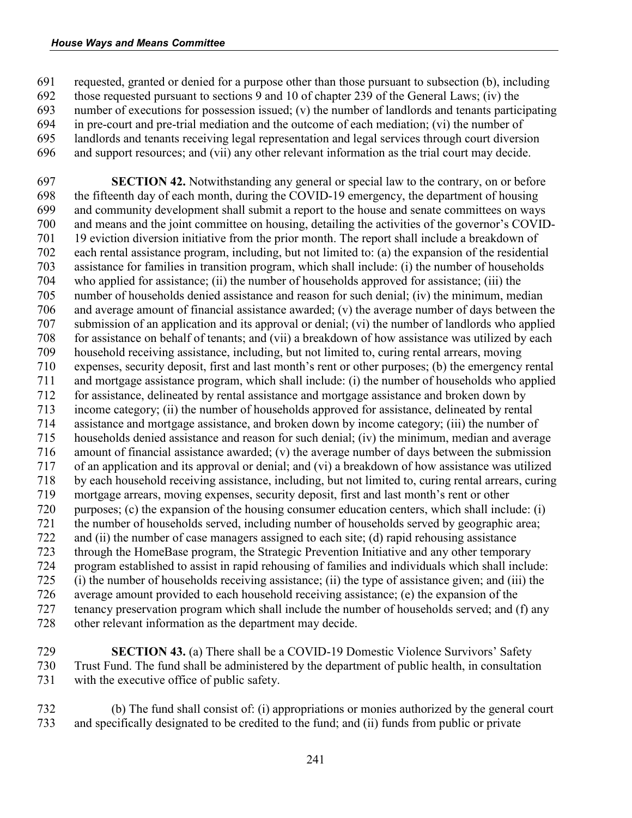## *House Ways and Means Committee*

 requested, granted or denied for a purpose other than those pursuant to subsection (b), including those requested pursuant to sections 9 and 10 of chapter 239 of the General Laws; (iv) the number of executions for possession issued; (v) the number of landlords and tenants participating in pre-court and pre-trial mediation and the outcome of each mediation; (vi) the number of landlords and tenants receiving legal representation and legal services through court diversion and support resources; and (vii) any other relevant information as the trial court may decide.

 **SECTION 42.** Notwithstanding any general or special law to the contrary, on or before the fifteenth day of each month, during the COVID-19 emergency, the department of housing and community development shall submit a report to the house and senate committees on ways and means and the joint committee on housing, detailing the activities of the governor's COVID- 19 eviction diversion initiative from the prior month. The report shall include a breakdown of each rental assistance program, including, but not limited to: (a) the expansion of the residential assistance for families in transition program, which shall include: (i) the number of households who applied for assistance; (ii) the number of households approved for assistance; (iii) the number of households denied assistance and reason for such denial; (iv) the minimum, median and average amount of financial assistance awarded; (v) the average number of days between the submission of an application and its approval or denial; (vi) the number of landlords who applied for assistance on behalf of tenants; and (vii) a breakdown of how assistance was utilized by each household receiving assistance, including, but not limited to, curing rental arrears, moving expenses, security deposit, first and last month's rent or other purposes; (b) the emergency rental and mortgage assistance program, which shall include: (i) the number of households who applied for assistance, delineated by rental assistance and mortgage assistance and broken down by income category; (ii) the number of households approved for assistance, delineated by rental assistance and mortgage assistance, and broken down by income category; (iii) the number of households denied assistance and reason for such denial; (iv) the minimum, median and average amount of financial assistance awarded; (v) the average number of days between the submission of an application and its approval or denial; and (vi) a breakdown of how assistance was utilized by each household receiving assistance, including, but not limited to, curing rental arrears, curing mortgage arrears, moving expenses, security deposit, first and last month's rent or other 720 purposes; (c) the expansion of the housing consumer education centers, which shall include: (i)<br>721 the number of households served, including number of households served by geographic area; the number of households served, including number of households served by geographic area; and (ii) the number of case managers assigned to each site; (d) rapid rehousing assistance through the HomeBase program, the Strategic Prevention Initiative and any other temporary program established to assist in rapid rehousing of families and individuals which shall include: (i) the number of households receiving assistance; (ii) the type of assistance given; and (iii) the average amount provided to each household receiving assistance; (e) the expansion of the tenancy preservation program which shall include the number of households served; and (f) any other relevant information as the department may decide.

 **SECTION 43.** (a) There shall be a COVID-19 Domestic Violence Survivors' Safety Trust Fund. The fund shall be administered by the department of public health, in consultation with the executive office of public safety.

 (b) The fund shall consist of: (i) appropriations or monies authorized by the general court and specifically designated to be credited to the fund; and (ii) funds from public or private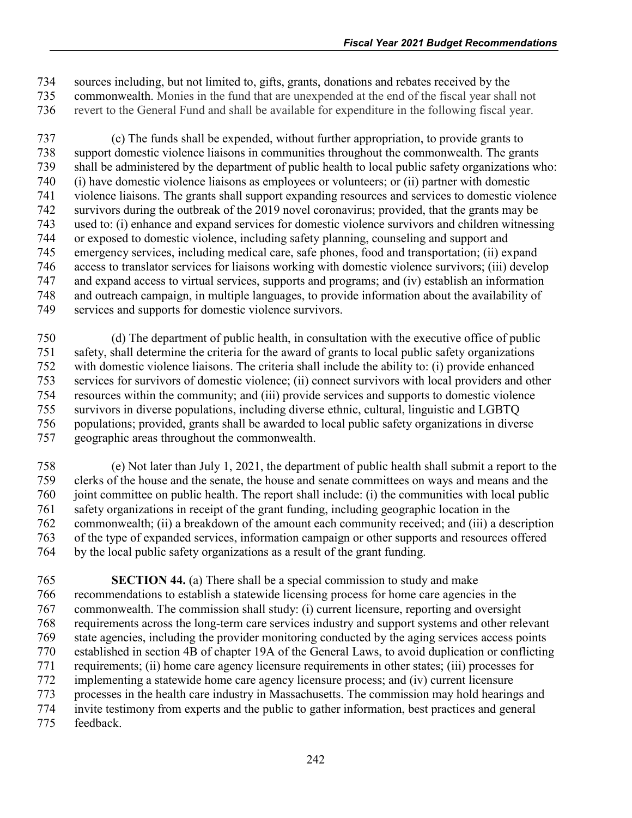sources including, but not limited to, gifts, grants, donations and rebates received by the 735 commonwealth. Monies in the fund that are unexpended at the end of the fiscal year shall not<br>736 verset to the General Fund and shall be available for expenditure in the following fiscal year. revert to the General Fund and shall be available for expenditure in the following fiscal year.

 (c) The funds shall be expended, without further appropriation, to provide grants to support domestic violence liaisons in communities throughout the commonwealth. The grants shall be administered by the department of public health to local public safety organizations who: (i) have domestic violence liaisons as employees or volunteers; or (ii) partner with domestic violence liaisons. The grants shall support expanding resources and services to domestic violence survivors during the outbreak of the 2019 novel coronavirus; provided, that the grants may be used to: (i) enhance and expand services for domestic violence survivors and children witnessing or exposed to domestic violence, including safety planning, counseling and support and emergency services, including medical care, safe phones, food and transportation; (ii) expand access to translator services for liaisons working with domestic violence survivors; (iii) develop and expand access to virtual services, supports and programs; and (iv) establish an information and outreach campaign, in multiple languages, to provide information about the availability of services and supports for domestic violence survivors.

 (d) The department of public health, in consultation with the executive office of public safety, shall determine the criteria for the award of grants to local public safety organizations with domestic violence liaisons. The criteria shall include the ability to: (i) provide enhanced services for survivors of domestic violence; (ii) connect survivors with local providers and other resources within the community; and (iii) provide services and supports to domestic violence survivors in diverse populations, including diverse ethnic, cultural, linguistic and LGBTQ populations; provided, grants shall be awarded to local public safety organizations in diverse geographic areas throughout the commonwealth.

 (e) Not later than July 1, 2021, the department of public health shall submit a report to the clerks of the house and the senate, the house and senate committees on ways and means and the joint committee on public health. The report shall include: (i) the communities with local public safety organizations in receipt of the grant funding, including geographic location in the commonwealth; (ii) a breakdown of the amount each community received; and (iii) a description of the type of expanded services, information campaign or other supports and resources offered by the local public safety organizations as a result of the grant funding.

 **SECTION 44.** (a) There shall be a special commission to study and make recommendations to establish a statewide licensing process for home care agencies in the commonwealth. The commission shall study: (i) current licensure, reporting and oversight requirements across the long-term care services industry and support systems and other relevant state agencies, including the provider monitoring conducted by the aging services access points established in section 4B of chapter 19A of the General Laws, to avoid duplication or conflicting requirements; (ii) home care agency licensure requirements in other states; (iii) processes for implementing a statewide home care agency licensure process; and (iv) current licensure processes in the health care industry in Massachusetts. The commission may hold hearings and invite testimony from experts and the public to gather information, best practices and general feedback.